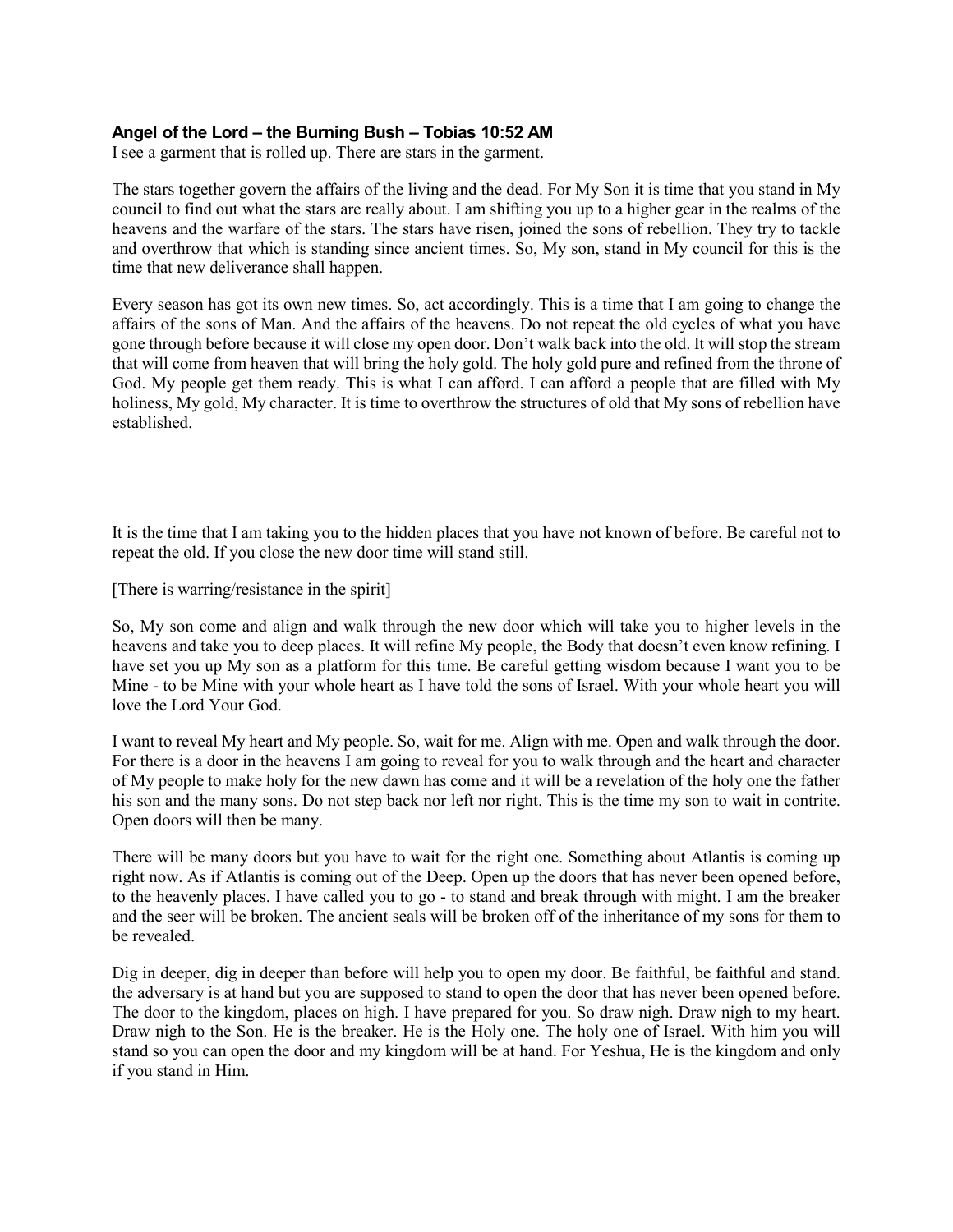### **Angel of the Lord – the Burning Bush – Tobias 10:52 AM**

I see a garment that is rolled up. There are stars in the garment.

The stars together govern the affairs of the living and the dead. For My Son it is time that you stand in My council to find out what the stars are really about. I am shifting you up to a higher gear in the realms of the heavens and the warfare of the stars. The stars have risen, joined the sons of rebellion. They try to tackle and overthrow that which is standing since ancient times. So, My son, stand in My council for this is the time that new deliverance shall happen.

Every season has got its own new times. So, act accordingly. This is a time that I am going to change the affairs of the sons of Man. And the affairs of the heavens. Do not repeat the old cycles of what you have gone through before because it will close my open door. Don't walk back into the old. It will stop the stream that will come from heaven that will bring the holy gold. The holy gold pure and refined from the throne of God. My people get them ready. This is what I can afford. I can afford a people that are filled with My holiness, My gold, My character. It is time to overthrow the structures of old that My sons of rebellion have established.

It is the time that I am taking you to the hidden places that you have not known of before. Be careful not to repeat the old. If you close the new door time will stand still.

[There is warring/resistance in the spirit]

So, My son come and align and walk through the new door which will take you to higher levels in the heavens and take you to deep places. It will refine My people, the Body that doesn't even know refining. I have set you up My son as a platform for this time. Be careful getting wisdom because I want you to be Mine - to be Mine with your whole heart as I have told the sons of Israel. With your whole heart you will love the Lord Your God.

I want to reveal My heart and My people. So, wait for me. Align with me. Open and walk through the door. For there is a door in the heavens I am going to reveal for you to walk through and the heart and character of My people to make holy for the new dawn has come and it will be a revelation of the holy one the father his son and the many sons. Do not step back nor left nor right. This is the time my son to wait in contrite. Open doors will then be many.

There will be many doors but you have to wait for the right one. Something about Atlantis is coming up right now. As if Atlantis is coming out of the Deep. Open up the doors that has never been opened before, to the heavenly places. I have called you to go - to stand and break through with might. I am the breaker and the seer will be broken. The ancient seals will be broken off of the inheritance of my sons for them to be revealed.

Dig in deeper, dig in deeper than before will help you to open my door. Be faithful, be faithful and stand. the adversary is at hand but you are supposed to stand to open the door that has never been opened before. The door to the kingdom, places on high. I have prepared for you. So draw nigh. Draw nigh to my heart. Draw nigh to the Son. He is the breaker. He is the Holy one. The holy one of Israel. With him you will stand so you can open the door and my kingdom will be at hand. For Yeshua, He is the kingdom and only if you stand in Him.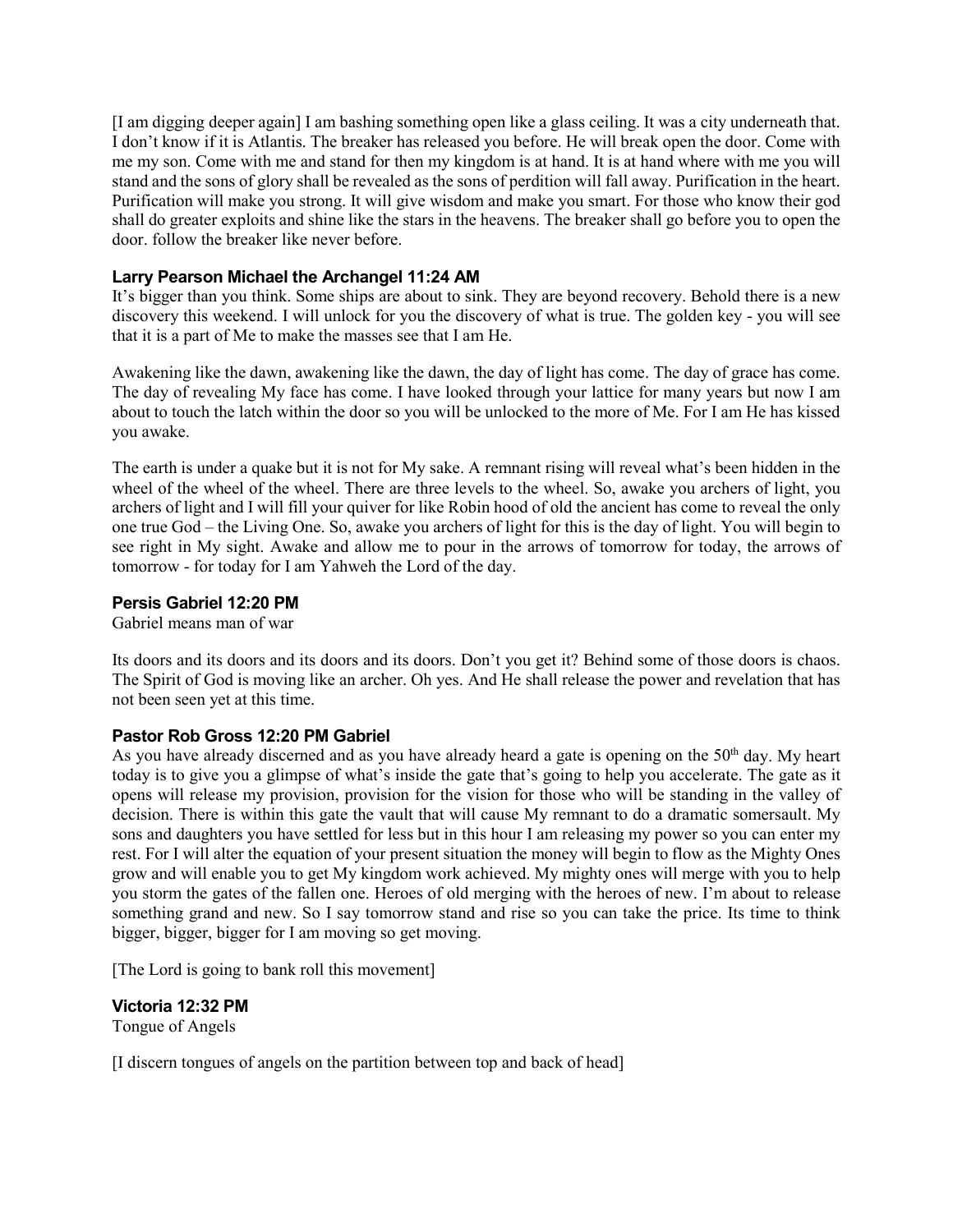[I am digging deeper again] I am bashing something open like a glass ceiling. It was a city underneath that. I don't know if it is Atlantis. The breaker has released you before. He will break open the door. Come with me my son. Come with me and stand for then my kingdom is at hand. It is at hand where with me you will stand and the sons of glory shall be revealed as the sons of perdition will fall away. Purification in the heart. Purification will make you strong. It will give wisdom and make you smart. For those who know their god shall do greater exploits and shine like the stars in the heavens. The breaker shall go before you to open the door. follow the breaker like never before.

## **Larry Pearson Michael the Archangel 11:24 AM**

It's bigger than you think. Some ships are about to sink. They are beyond recovery. Behold there is a new discovery this weekend. I will unlock for you the discovery of what is true. The golden key - you will see that it is a part of Me to make the masses see that I am He.

Awakening like the dawn, awakening like the dawn, the day of light has come. The day of grace has come. The day of revealing My face has come. I have looked through your lattice for many years but now I am about to touch the latch within the door so you will be unlocked to the more of Me. For I am He has kissed you awake.

The earth is under a quake but it is not for My sake. A remnant rising will reveal what's been hidden in the wheel of the wheel of the wheel. There are three levels to the wheel. So, awake you archers of light, you archers of light and I will fill your quiver for like Robin hood of old the ancient has come to reveal the only one true God – the Living One. So, awake you archers of light for this is the day of light. You will begin to see right in My sight. Awake and allow me to pour in the arrows of tomorrow for today, the arrows of tomorrow - for today for I am Yahweh the Lord of the day.

### **Persis Gabriel 12:20 PM**

Gabriel means man of war

Its doors and its doors and its doors and its doors. Don't you get it? Behind some of those doors is chaos. The Spirit of God is moving like an archer. Oh yes. And He shall release the power and revelation that has not been seen yet at this time.

# **Pastor Rob Gross 12:20 PM Gabriel**

As you have already discerned and as you have already heard a gate is opening on the 50<sup>th</sup> day. My heart today is to give you a glimpse of what's inside the gate that's going to help you accelerate. The gate as it opens will release my provision, provision for the vision for those who will be standing in the valley of decision. There is within this gate the vault that will cause My remnant to do a dramatic somersault. My sons and daughters you have settled for less but in this hour I am releasing my power so you can enter my rest. For I will alter the equation of your present situation the money will begin to flow as the Mighty Ones grow and will enable you to get My kingdom work achieved. My mighty ones will merge with you to help you storm the gates of the fallen one. Heroes of old merging with the heroes of new. I'm about to release something grand and new. So I say tomorrow stand and rise so you can take the price. Its time to think bigger, bigger, bigger for I am moving so get moving.

[The Lord is going to bank roll this movement]

# **Victoria 12:32 PM**

Tongue of Angels

[I discern tongues of angels on the partition between top and back of head]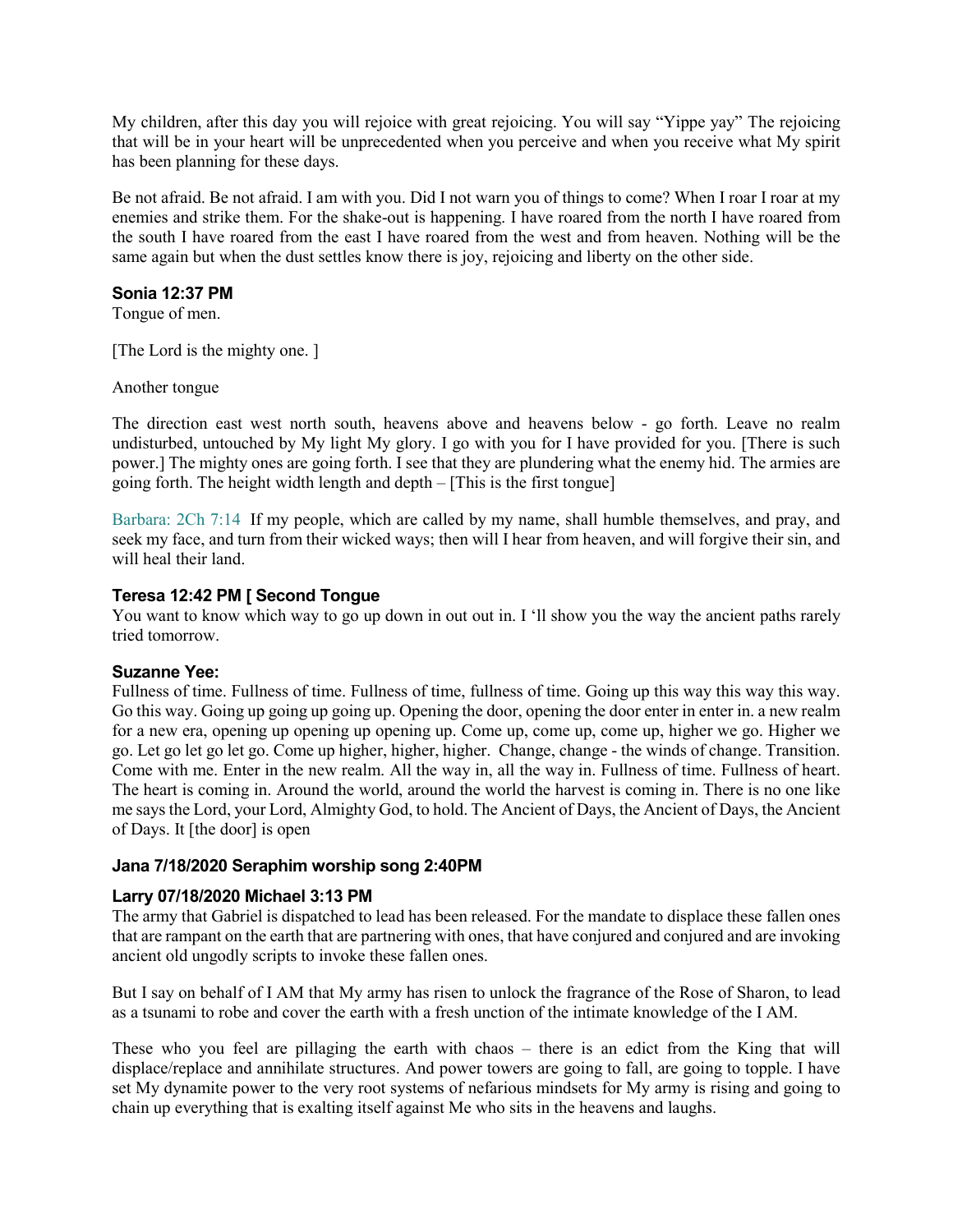My children, after this day you will rejoice with great rejoicing. You will say "Yippe yay" The rejoicing that will be in your heart will be unprecedented when you perceive and when you receive what My spirit has been planning for these days.

Be not afraid. Be not afraid. I am with you. Did I not warn you of things to come? When I roar I roar at my enemies and strike them. For the shake-out is happening. I have roared from the north I have roared from the south I have roared from the east I have roared from the west and from heaven. Nothing will be the same again but when the dust settles know there is joy, rejoicing and liberty on the other side.

## **Sonia 12:37 PM**

Tongue of men.

[The Lord is the mighty one.]

Another tongue

The direction east west north south, heavens above and heavens below - go forth. Leave no realm undisturbed, untouched by My light My glory. I go with you for I have provided for you. [There is such power.] The mighty ones are going forth. I see that they are plundering what the enemy hid. The armies are going forth. The height width length and depth – [This is the first tongue]

Barbara: 2Ch 7:14 If my people, which are called by my name, shall humble themselves, and pray, and seek my face, and turn from their wicked ways; then will I hear from heaven, and will forgive their sin, and will heal their land.

### **Teresa 12:42 PM [ Second Tongue**

You want to know which way to go up down in out out in. I 'll show you the way the ancient paths rarely tried tomorrow.

#### **Suzanne Yee:**

Fullness of time. Fullness of time. Fullness of time, fullness of time. Going up this way this way this way. Go this way. Going up going up going up. Opening the door, opening the door enter in enter in. a new realm for a new era, opening up opening up opening up. Come up, come up, come up, higher we go. Higher we go. Let go let go let go. Come up higher, higher, higher. Change, change - the winds of change. Transition. Come with me. Enter in the new realm. All the way in, all the way in. Fullness of time. Fullness of heart. The heart is coming in. Around the world, around the world the harvest is coming in. There is no one like me says the Lord, your Lord, Almighty God, to hold. The Ancient of Days, the Ancient of Days, the Ancient of Days. It [the door] is open

#### **Jana 7/18/2020 Seraphim worship song 2:40PM**

# **Larry 07/18/2020 Michael 3:13 PM**

The army that Gabriel is dispatched to lead has been released. For the mandate to displace these fallen ones that are rampant on the earth that are partnering with ones, that have conjured and conjured and are invoking ancient old ungodly scripts to invoke these fallen ones.

But I say on behalf of I AM that My army has risen to unlock the fragrance of the Rose of Sharon, to lead as a tsunami to robe and cover the earth with a fresh unction of the intimate knowledge of the I AM.

These who you feel are pillaging the earth with chaos – there is an edict from the King that will displace/replace and annihilate structures. And power towers are going to fall, are going to topple. I have set My dynamite power to the very root systems of nefarious mindsets for My army is rising and going to chain up everything that is exalting itself against Me who sits in the heavens and laughs.